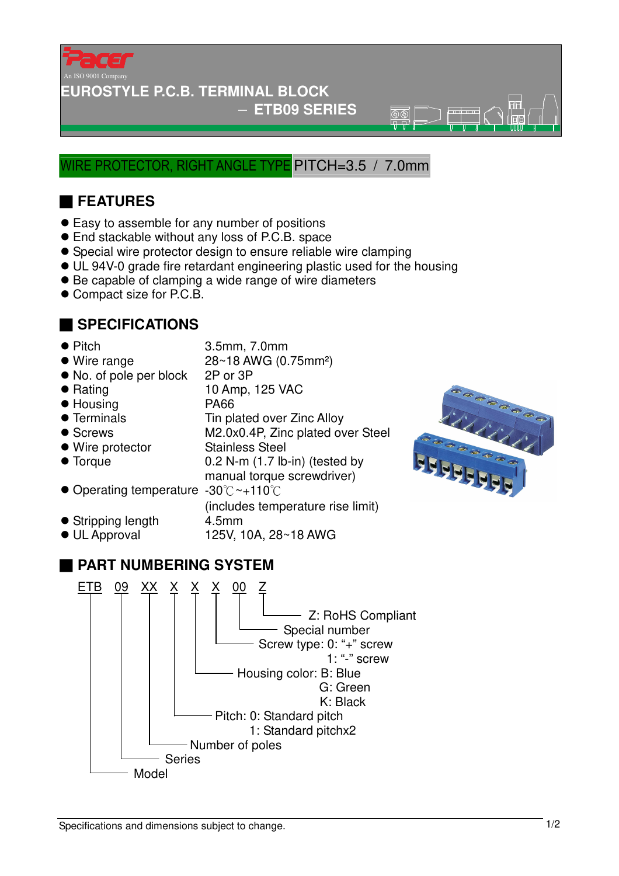

#### **EUROSTYLE P.C.B. TERMINAL BLOCK**

#### − **ETB09 SERIES**

 $\overline{\mathbb{R}}\overline{\mathbb{R}}$ 

### WIRE PROTECTOR, RIGHT ANGLE TYPE PITCH=3.5 / 7.0mm

# ■ **FEATURES**

- Easy to assemble for any number of positions
- End stackable without any loss of P.C.B. space
- Special wire protector design to ensure reliable wire clamping
- UL 94V-0 grade fire retardant engineering plastic used for the housing
- Be capable of clamping a wide range of wire diameters
- Compact size for P.C.B.

#### ■ **SPECIFICATIONS**

- 
- Pitch 3.5mm, 7.0mm
- Wire range 28~18 AWG (0.75mm<sup>2</sup>)
- No. of pole per block 2P or 3P
- 
- 
- 
- 
- 
- 
- 
- Rating 10 Amp, 125 VAC
- Housing PA66
- Terminals Tin plated over Zinc Alloy
- Screws M2.0x0.4P, Zinc plated over Steel
- Wire protector Stainless Steel
- 
- Torque 0.2 N-m (1.7 lb-in) (tested by manual torque screwdriver)
- Operating temperature -30℃~+110℃
- (includes temperature rise limit) • Stripping length 4.5mm
- $\bullet$  UL Approval 125V, 10A, 28~18 AWG
	-



## ■ **PART NUMBERING SYSTEM**